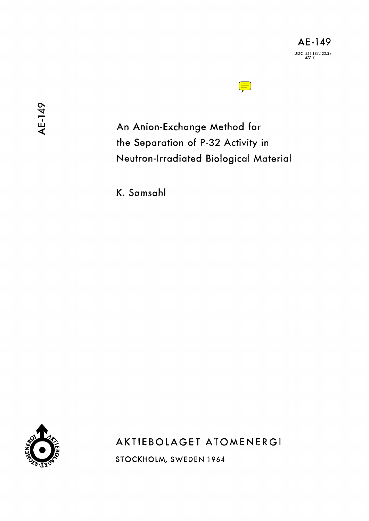

An Anion-Exchange Method for the Separation of P-32 Activity in Neutron-Irradiated Biological Material

K. Samsahl



AKTIEBOLAGET ATOMENERGI

STOCKHOLM, SWEDEN 1964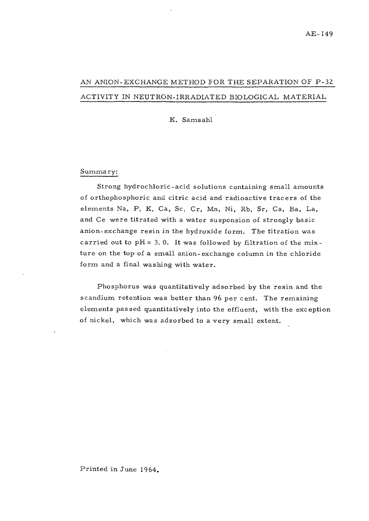## AN ANION-EXCHANGE METHOD FOR THE SEPARATION OF P-32 ACTIVITY IN NEUTRON-IRRADIATED BIOLOGICAL MATERIAL

K. Samsahl

### Summary:

Strong hydrochloric-acid solutions containing small amounts of orthophosphoric and citric acid and radioactive tracers of the elements Na, P, K, Ca, Se, Cr, Mn, Ni, Rb, Sr, Cs, Ba, La, and Ce were titrated with a water suspension of strongly basic anion-exchange resin in the hydroxide form. The titration was carried out to  $pH = 3$ . 0. It was followed by filtration of the mixture on the top of a small anion-exchange column in the chloride form and a final washing with water.

Phosphorus was quantitatively adsorbed by the resin and the scandium retention was better than 96 per cent. The remaining elements passed quantitatively into the effluent, with the exception of nickel, which was adsorbed to a very small extent.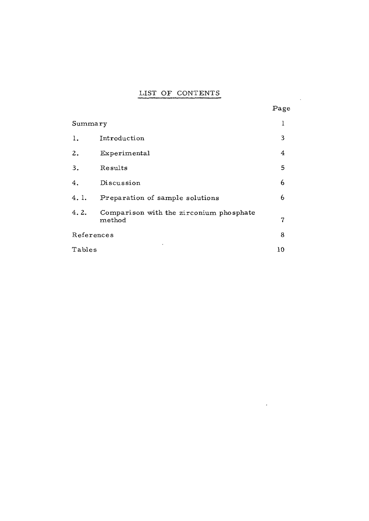# LIST OF CONTENTS

|            | LIST OF CONTENTS                                         |      |
|------------|----------------------------------------------------------|------|
|            |                                                          | Page |
| Summary    |                                                          | 1    |
| 1.         | Introduction                                             | 3    |
| 2.         | Experimental                                             | 4    |
| 3.         | Results                                                  | 5    |
| 4.         | Discussion                                               | 6    |
| 4.1.       | Preparation of sample solutions                          | 6    |
| 4.2.       | Comparison with the zirconium phosphate<br>$\rm{method}$ | 7    |
| References |                                                          | 8    |
| Tables     |                                                          | 10   |

 $\mathcal{L}^{\text{max}}_{\text{max}}$  , where  $\mathcal{L}^{\text{max}}_{\text{max}}$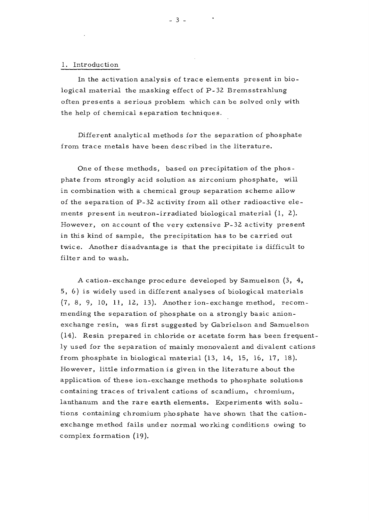#### 1. Introduction

In the activation analysis of trace elements present in biological material the masking effect of P-32 Bremsstrahlung often presents a serious problem which can be solved only with the help of chemical separation techniques.

Different analytical methods for the separation of phosphate from trace metals have been described in the literature.

One of these methods, based on precipitation of the phosphate from strongly acid solution as zirconium phosphate, will in combination with a chemical group separation scheme allow of the separation of P-32 activity from all other radioactive elements present in neutron-irradiated biological material  $(1, 2)$ . However, on account of the very extensive P-32 activity present in this kind of sample, the precipitation has to be carried out twice. Another disadvantage is that the precipitate is difficult to filter and to wash.

A cation-exchange procedure developed by Samuelson (3, 4, 5, 6) is widely used in different analyses of biological materials {7, 8, 9, 10, 11, 12, 13). Another ion-exchange method, recommending the separation of phosphate on a strongly basic anionexchange resin, was first suggested by Gabrielson and Samuelson (14). Resin prepared in chloride or acetate form has been frequently used for the separation of mainly monovalent and divalent cations from phosphate in biological material (13, 14, 15, 16, 17, 18). However, little information is given in the literature about the application of these ion-exchange methods to phosphate solutions containing traces of trivalent cations of scandium, chromium, lanthanum and the rare earth elements. Experiments with solutions containing chromium phosphate have shown that the cationexchange method fails under normal working conditions owing to complex formation (19).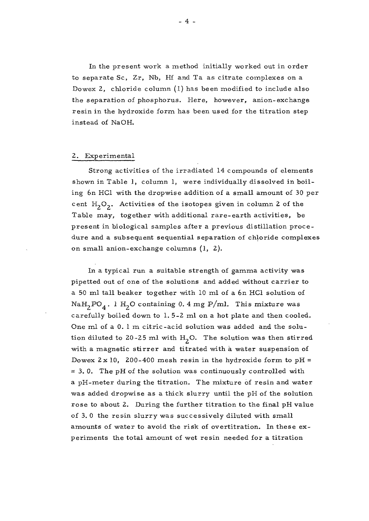In the present work a method initially worked out in order to separate Sc, Zr, Nb, Hf and Ta as citrate complexes on a Dowex 2, chloride column  $(1)$  has been modified to include also the separation of phosphorus. Here, however, anion-exchange resin in the hydroxide form has been used for the titration step instead of NaOH.

#### 2. Experimental

Strong activities of the irradiated 14 compounds of elements shown in Table 1, column 1, were individually dissolved in boiling 6n HC1 with the dropwise addition of a small amount of 30 per cent  $H_2O_2$ . Activities of the isotopes given in column 2 of the Table may, together with additional rare-earth activities, be present in biological samples after a previous distillation procedure and a subsequent sequential separation of chloride complexes on small anion-ex change columns (1, 2).

In a typical run a suitable strength of gamma activity was pipetted out of one of the solutions and added without carrier to a 50 ml tall beaker together with 10 ml of a 6n HC1 solution of Na $H_2PO_4$ . 1  $H_2O$  containing 0. 4 mg P/ml. This mixture was carefully boiled down to 1. 5-2 ml on a hot plate and then cooled. One ml of a 0. 1 m citric-acid solution was added and the solution diluted to 20-25 ml with  $H_2O$ . The solution was then stirred with a magnetic stirrer and titrated with ä water suspension of Dowex  $2 \times 10$ , 200-400 mesh resin in the hydroxide form to pH = = 3. 0. The pH of the solution was continuously controlled with a pH-meter during the titration. The mixture of resin and water was added dropwise as a thick slurry until the pH of the solution rose to about 2. During the further titration to the final pH value of 3. 0 the resin slurry was successively diluted with small amounts of water to avoid the risk of overtitration. In these experiments the total amount of wet resin needed for a titration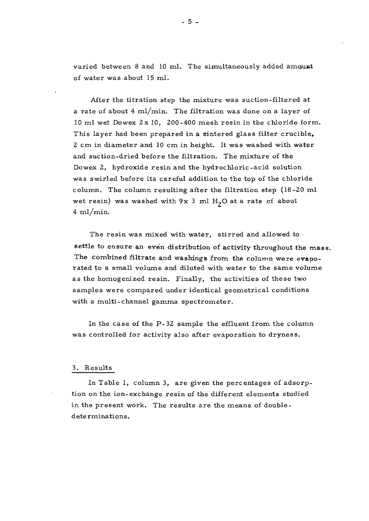varied between  $8$  and  $10$  ml. The simultaneously added amount of water was about 15 ml.

After the titration step the mixture was suction-filtered at a rate of about 4 ml/min. The filtration was done on a layer of 10 ml wet Dowex 2x 10, 200-400 mesh resin in the chloride form. This layer had been prepared in a sintered glass filter crucible. 2 cm in diameter and 10 cm in height. It was washed with water and suction-dried before the filtration. The mixture of the Dowex 2, hydroxide resin and the hydrochloric-acid solution was swirled before its careful addition to the top of the chloride column. The column resulting after the filtration step (18-20 ml wet resin) was washed with  $9x$  3 ml  $H<sub>2</sub>O$  at a rate of about  $4 \text{ ml/min}.$ 

The resin was mixed with water, stirred and allowed to settle to ensure an even distribution of activity throughout the mass. The combined filtrate and washings from the column were evaporated to a small volume and diluted with water to the same volume as the homogenized resin. Finally, the activities of these two samples were compared under identical geometrical conditions with a multi-channel gamma spectrometer.

In the case of the P-32 sample the effluent from the column was controlled for activity also after evaporation to dryness.

#### 3. Results

In Table 1, column 3, are given the percentages of adsorption on the ion-exchange resin of the different elements studied in the present work. The results are the means of double determinations.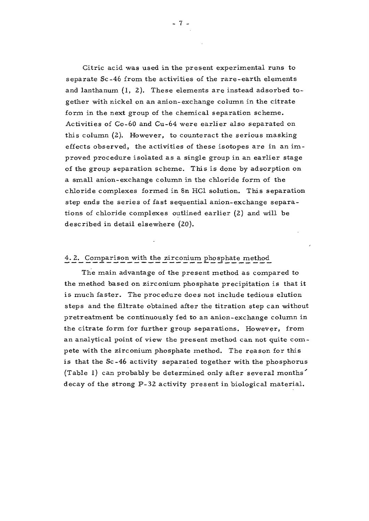Citric acid was used in the present experimental runs to separate Sc~46 from the activities of the rare-earth elements and lanthanum (1, 2). These elements are instead adsorbed together with nickel on an anion-exchange column in the citrate form in the next group of the chemical separation scheme. Activities of Co-60 and Cu-64 were earlier also separated on this column (2). However, to counteract the serious masking effects observed, the activities of these isotopes are in an improved procedure isolated as a single group in an earlier stage of the group separation scheme. This is done by adsorption on a small anion-exchange column in the chloride form of the chloride complexes formed in 8n HC1 solution. This separation step ends the series of fast sequential anion-exchange separations of chloride complexes outlined earlier (2) and will be described in detail elsewhere (20).

### 4. 2. Comparison with the zirconium phosphate method

The main advantage of the present method as compared to the method based on zirconium phosphate precipitation is that it is much faster. The procedure does not include tedious elution steps and the filtrate obtained after the titration step can without pretreatment be continuously fed to an anion-exchange column in the citrate form for further group separations. However, from an analytical point of view the present method can not quite compete with the zirconium phosphate method. The reason for this is that the Sc-46 activity separated together with the phosphorus (Table 1) can probably be determined only after several months' decay of the strong P-32 activity present in biological material.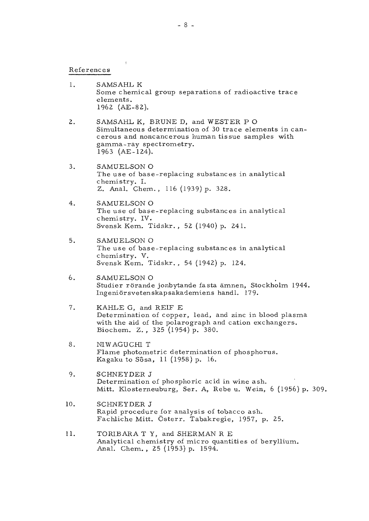References

 $\overline{z}$ 

- 1. SAMS AHL K Some chemical group separations of radioactive trace elements. 1962 **(AE-82).**
- 2. SAMSAHL K, BRUNE D, and WESTER P O Simultaneous determination of 30 trace elements in cancerous and noncancerous human tissue samples with gamma-ray spectrometry. 1963 (AE-124).
- 3. SAMUELSON O The use of base-replacing substances in analytical chemistry. I. Z. Anal. Chem. , 116 (1939) p. 328.
- 4. SAMUELSON O The use of base-replacing substances in analytical chemistry. IV. Svensk Kern. Tidskr. , 52 (1940) p. 241.
- 5. SAMUELSON O The use of base-replacing substances in analytical chemistry. V. Svensk Kem. Tidskr. , 54 (1942) p. 124.
- 6. SAMUELSON O Studier rörande jonbytande fasta ämnen, Stockholm 1944. Ingeniörsvetenskapsakademiens handl. 179.
- 7. KAHLE G, and REIF E Determination of copper, lead, and zinc in blood plasma with the aid of the polarograph and cation exchangers. Biochem. Z. , 325 (1954) p. 380.
- 8. NIWAGUCHI T Flame photometric determination of phosphorus. Kagaku to Sôsa, 11 (1958) p. 16.
- 9. SCHNEYDER J Determination of phosphoric acid in wine ash. Mitt. Klosterneuburg, Ser. A, Rebe u. Wein, 6 (1956) p. 309.
- 10. SCHNEYDER J Rapid procedure for analysis of tobacco ash. Fachliche Mitt. Österr. Tabakregie, 1957, p. 25.
- 11. TORIBARA T Y, and SHERMAN R E Analytical chemistry of micro quantities of beryllium. Anal. Chem., 25 (1953) p. 1594.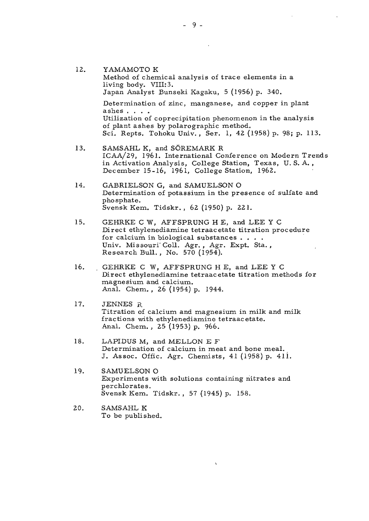- 12. YAMAMOTO K Method of chemical analysis of trace elements in a living body. VIII:3. Japan Analyst Bunseki Kagaku, 5 (1956) p. 340. Determination of zinc, manganese, and copper in plant ashes . . . . Utilization of coprecipitation phenomenon in the analysis of plant ashes by polarographic method. Sci. Repts. Tohoku Univ., Ser. 1, 42 (1958) p. 98; p. 113.
- 13. SAMSAHL K, and SÖREMARK R ICAA/29, 1961. International Conference on Modern Trends in Activation Analysis, College Station, Texas, U. S. A. , December 15-16, 1961, College Station, 1962.
- 14. GABRIELSON G, and SAMUELSON O Determination of potassium in the presence of sulfate and phosphate. Svensk Kern. Tidskr. , 62 (1950) p. 221.
- 15. GEHRKE C W, AFFSPRUNG H E, and LEE Y C Direct ethylenediamine tetraacetate titration procedure for calcium in biological substances . . . . Univ. Missouri'Coll. Agr., Agr. Expt. Sta., Research Bull. , No. 570(1954).
- 16. GEHRKE C W, AFFSPRUNG H E, and LEE Y C Direct ethylenediamine tetraacetate titration methods for magnesium, and calcium. Anal. Chem. , 26 (1954) p. 1944.
- 17. JENNES R Titration of calcium and magnesium in milk and milk fractions with ethylenediamine tetraacetate. Anal. Chem. , 25 (1953) p. 966.
- 18. LAPIDUS M, and MELLON E F Determination of calcium in meat and bone meal. J. Assoc. Offic. Agr. Chemists, 41 (1958) p. 4li.
- 19. SAMUELSON O Experiments with solutions containing nitrates and perchlorates. Svensk Kem. Tidskr. , 57 (1945) p. 158.

 $\sqrt{2}$ 

20. SAMSAHL K To be published.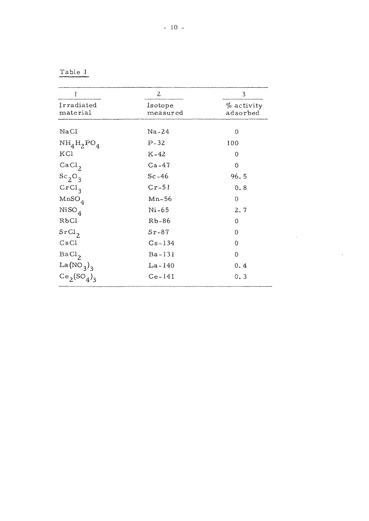Table 1

| 1                      | 2                   | 3                      |  |
|------------------------|---------------------|------------------------|--|
| Irradiated<br>material | Isotope<br>measured | % activity<br>adsorbed |  |
| NaCl                   | Na-24               | 0                      |  |
| $NH_4H_2PO_4$          | $P-32$              | 100                    |  |
| KCl                    | $K-42$              | 0                      |  |
| CaCl <sub>2</sub>      | $Ca-47$             | 0                      |  |
| $Sc_2O_3$              | $Sc-46$             | 96.5                   |  |
| CrCl <sub>3</sub>      | $Cr-51$             | 0.8                    |  |
| $MnSO_4$               | $Mn-56$             | 0                      |  |
| $NiSO_4$               | Ni-65               | 2.7                    |  |
| RbCl                   | $Rb-86$             | 0                      |  |
| SrCl <sub>2</sub>      | $Sr-87$             | 0                      |  |
| CsCl                   | $Cs - 134$          | 0                      |  |
| BaCl <sub>2</sub>      | Ba-131              | 0                      |  |
| La $(NO_3)_3$          | $La - 140$          | 0.4                    |  |
| $Ce_2(SO_4)_3$         | $Ce-141$            | 0, 3                   |  |

 $\mathcal{L}^{\text{max}}_{\text{max}}$ 

 $\mathcal{L}^{\text{max}}_{\text{max}}$  and  $\mathcal{L}^{\text{max}}_{\text{max}}$